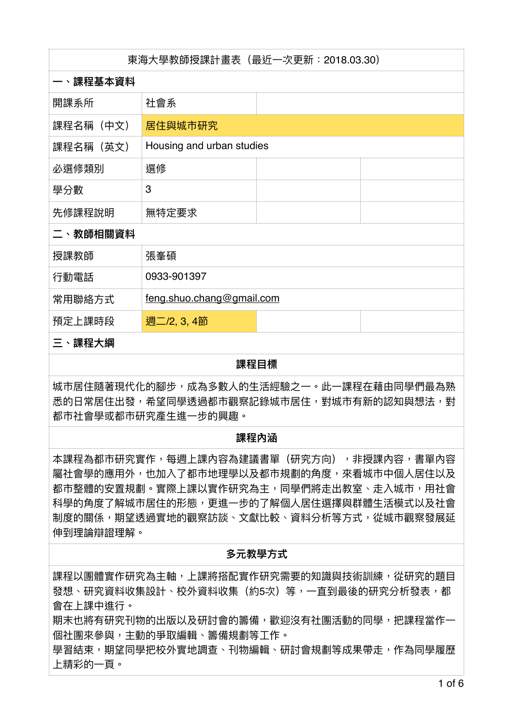| 東海大學教師授課計畫表(最近一次更新:2018.03.30) |                           |  |  |
|--------------------------------|---------------------------|--|--|
| 一、課程基本資料                       |                           |  |  |
| 開課系所                           | 社會系                       |  |  |
| 課程名稱(中文)                       | 居住與城市研究                   |  |  |
| 課程名稱(英文)                       | Housing and urban studies |  |  |
| 必選修類別                          | 選修                        |  |  |
| 學分數                            | 3                         |  |  |
| 先修課程說明                         | 無特定要求                     |  |  |
| 二、教師相關資料                       |                           |  |  |
| 授課教師                           | 張峯碩                       |  |  |
| 行動電話                           | 0933-901397               |  |  |
| 常用聯絡方式                         | feng.shuo.chang@gmail.com |  |  |
| 預定上課時段                         | 週二/2, 3, 4節               |  |  |
| 三、課程大綱                         |                           |  |  |

# 課程日標

城市居住隨著現代化的腳步,成為多數人的生活經驗之一。此一課程在藉由同學們最為熟 悉的日常居住出發,希望同學透過都市觀察記錄城市居住,對城市有新的認知與想法,對 都市社會學或都市研究產生進一步的興趣。

### 課程內涵

本課程為都市研究實作,每週上課內容為建議書單(研究方向),非授課內容,書單內容 屬社會學的應用外,也加入了都市地理學以及都市規劃的角度,來看城市中個人居住以及 都市整體的安置規劃。實際上課以實作研究為主,同學們將走出教室、走入城市,用社會 科學的角度了解城市居住的形態,更進一步的了解個人居住選擇與群體生活模式以及社會 制度的關係,期望透過實地的觀察訪談、文獻比較、資料分析等方式,從城市觀察發展延 伸到理論辯證理解。

## 名元教學方式

課程以團體實作研究為主軸,上課將搭配實作研究需要的知識與技術訓練,從研究的題目 發想、研究資料收集設計、校外資料收集(約5次)等,一直到最後的研究分析發表,都 會在上課中進行。

期末也將有研究刊物的出版以及研討會的籌備,歡迎沒有社團活動的同學,把課程當作一 個社團來參與,主動的爭取編輯、籌備規劃等工作。

學習結束,期望同學把校外實地調查、刊物編輯、研討會規劃等成果帶走,作為同學履歷 上精彩的一頁。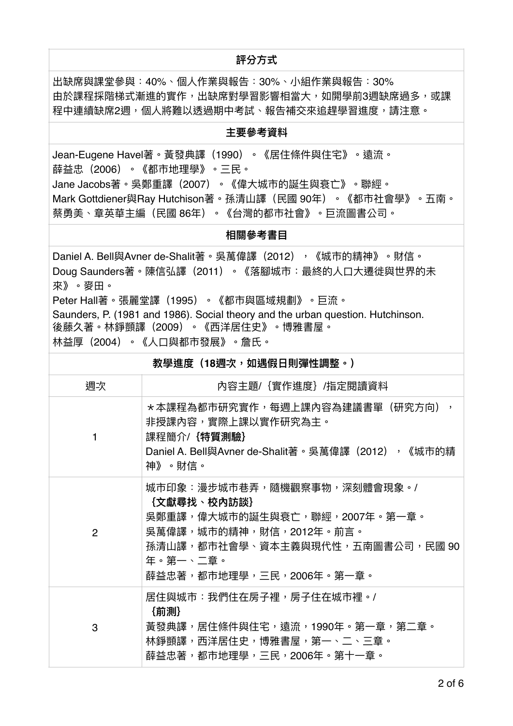## **評分方式**

出缺席與課堂參與:40%、個人作業與報告:30%、小組作業與報告:30% 由於課程採階梯式漸進的實作,出缺席對學習影響相當大,如開學前3週缺席過多,或課 程中連續缺席2调,個人將難以诱渦期中考試、報告補交來追趕壆習谁度,請注意。

### **主要參考資料**

Jean-Eugene Havel著。黃發典譯(1990)。《居住條件與住宅》。遠流。 薛益忠(2006)。《都市地理學》。三民。 Jane Jacobs著。吳鄭重譯(2007)。《偉大城市的誕生與衰亡》。聯經。 Mark Gottdiener與Ray Hutchison著。孫清山譯(民國 90年)。《都市社會學》。五南。 蔡勇美、章英華主編(民國 86年)。《台灣的都市社會》。巨流圖書公司。

### 相關參考書**目**

Daniel A. Bell與Avner de-Shalit著。吳萬偉譯(2012),《城市的精神》。財信。 Doug Saunders著。陳信弘譯(2011)。《落腳城市:最終的人口大遷徙與世界的未 來》。麥田。 Peter Hall著。張麗堂譯(1995)。《都市與區域規劃》。巨流。 Saunders, P. (1981 and 1986). Social theory and the urban question. Hutchinson. 後藤久著。林錚顗譯(2009)。《西洋居住史》。博雅書屋。 林益厚(2004)。《人口與都市發展》。詹氏。

| 教學進度(18週次,如遇假日則彈性調整。) |                                                                                                                                                                                    |  |
|-----------------------|------------------------------------------------------------------------------------------------------------------------------------------------------------------------------------|--|
| 週次                    | 內容主題/{實作進度}/指定閱讀資料                                                                                                                                                                 |  |
| 1                     | *本課程為都市研究實作,每週上課内容為建議書單(研究方向),<br>非授課内容,實際上課以實作研究為主。<br>課程簡介/{特質測驗}<br>Daniel A. Bell與Avner de-Shalit著。吳萬偉譯(2012),《城市的精<br>神》。財信。                                                  |  |
| $\overline{2}$        | 城市印象:漫步城市巷弄,隨機觀察事物,深刻體會現象。/<br>{文獻尋找、校內訪談}<br>吴鄭重譯,偉大城市的誕生與衰亡,聯經,2007年。第一章。<br>吳萬偉譯,城市的精神,財信,2012年。前言。<br>孫清山譯,都市社會學、資本主義與現代性,五南圖書公司,民國 90<br>年。第一、二章。<br>薛益忠著,都市地理學,三民,2006年。第一章。 |  |
| 3                     | 居住與城市:我們住在房子裡,房子住在城市裡。/<br>{前測}<br>黃發典譯,居住條件與住宅,遠流,1990年。第一章,第二章。<br>林錚顗譯,西洋居住史,博雅書屋,第一、二、三章。<br>薛益忠著,都市地理學,三民,2006年。第十一章。                                                         |  |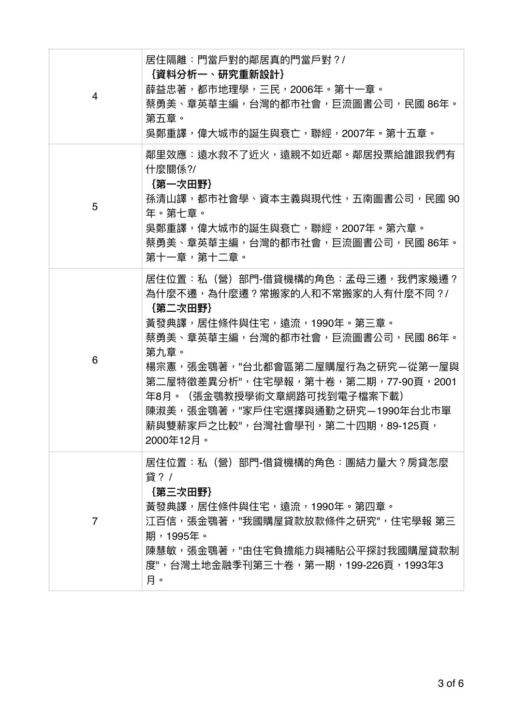| 4 | 居住隔離:門常戶對的鄰居真的門常戶對?/<br>{資料分析一、研究重新設計}<br>薛益忠著,都市地理學,三民,2006年。第十一章。<br>蔡勇美、章英華主編,台灣的都市社會,巨流圖書公司,民國 86年。<br>第五章。<br>吴鄭重譯,偉大城市的誕生與衰亡,聯經,2007年。第十五章。                                                                                                                                                                                                       |
|---|---------------------------------------------------------------------------------------------------------------------------------------------------------------------------------------------------------------------------------------------------------------------------------------------------------------------------------------------------------|
| 5 | 鄰里效應:遠水救不了近火,遠親不如近鄰。鄰居投票給誰跟我們有<br>什麼關係?/<br>{第一次田野}<br>孫清山譯,都市社會學、資本主義與現代性,五南圖書公司,民國 90<br>年。第七章。<br>吴鄭重譯,偉大城市的誕生與衰亡,聯經,2007年。第六章。<br>蔡勇美、章英華主編,台灣的都市社會,巨流圖書公司,民國 86年。<br>第十一章,第十二章。                                                                                                                                                                    |
| 6 | 居住位置:私(營)部門-借貸機構的角色:孟母三遷,我們家幾遷?<br>為什麼不遷,為什麼遷?常搬家的人和不常搬家的人有什麼不同?/<br>{第二次田野}<br>黃發典譯,居住條件與住宅,遠流,1990年。第三章。<br>蔡勇美、章英華主編,台灣的都市社會,巨流圖書公司,民國 86年。<br>第九章。<br>楊宗憲,張金鶚著,"台北都會區第二屋購屋行為之研究—從第一屋與<br>第二屋特徵差異分析",住宅學報,第十卷,第二期,77-90頁,2001<br>(張金鶚教授學術文章網路可找到電子檔案下載)<br>年8月。<br>陳淑美,張金鶚著,"家戶住宅選擇與通勤之研究—1990年台北市單<br>薪與雙薪家戶之比較",台灣社會學刊,第二十四期,89-125頁,<br>2000年12月。 |
| 7 | 居住位置:私(營)部門-借貸機構的角色:團結力量大?房貸怎麼<br>貸? /<br>{第三次田野}<br>黃發典譯,居住條件與住宅,遠流,1990年。第四章。<br>江百信,張金鶚著,"我國購屋貸款放款條件之研究",住宅學報 第三<br>期,1995年。<br>陳慧敏,張金鶚著,"由住宅負擔能力與補貼公平探討我國購屋貸款制<br>度",台灣土地金融季刊第三十卷,第一期,199-226頁,1993年3<br>月。                                                                                                                                         |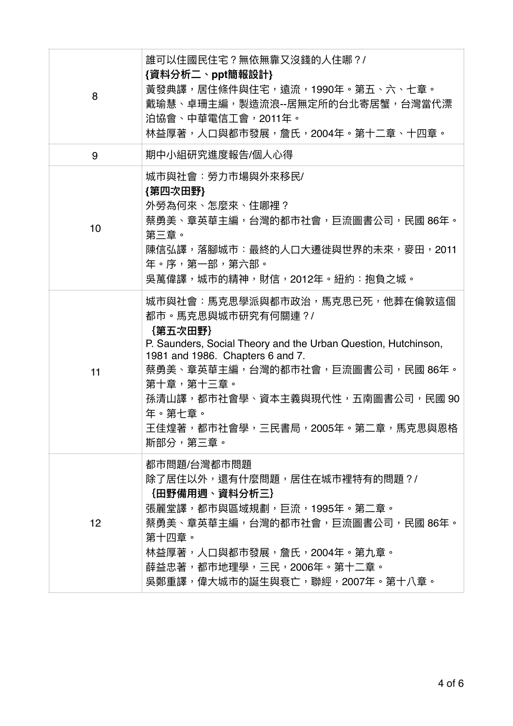| 8  | 誰可以住國民住宅?無依無靠又沒錢的人住哪?/<br>{資料分析二丶ppt簡報設計}<br>黃發典譯,居住條件與住宅,遠流,1990年。第五、六、七章。<br>戴瑜慧、卓珊主編,製造流浪--居無定所的台北寄居蟹,台灣當代漂<br>泊協會、中華電信工會,2011年。<br>林益厚著,人口與都市發展,詹氏,2004年。第十二章、十四章。                                                                                                                                              |
|----|---------------------------------------------------------------------------------------------------------------------------------------------------------------------------------------------------------------------------------------------------------------------------------------------------------------------|
| 9  | 期中小組研究進度報告/個人心得                                                                                                                                                                                                                                                                                                     |
| 10 | 城市與社會:勞力市場與外來移民/<br>{第四次田野}<br>外勞為何來、怎麼來、住哪裡?<br>蔡勇美、章英華主編,台灣的都市社會,巨流圖書公司,民國 86年。<br>第三章。<br>陳信弘譯,落腳城市:最終的人口大遷徙與世界的未來,麥田,2011<br>年。序,第一部,第六部。<br>吴萬偉譯,城市的精神,財信,2012年。紐約:抱負之城。                                                                                                                                       |
| 11 | 城市與社會:馬克思學派與都市政治,馬克思已死,他葬在倫敦這個<br>都市。馬克思與城市研究有何關連?/<br>{第五次田野}<br>P. Saunders, Social Theory and the Urban Question, Hutchinson,<br>1981 and 1986. Chapters 6 and 7.<br>蔡勇美、章英華主編,台灣的都市社會,巨流圖書公司,民國 86年。<br>第十章,第十三章。<br>孫清山譯,都市社會學、資本主義與現代性,五南圖書公司,民國 90<br>年。第十章。<br>王佳煌著,都市社會學,三民書局,2005年。第二章,馬克思與恩格<br>斯部分,第三章。 |
| 12 | 都市問題/台灣都市問題<br>除了居住以外,還有什麼問題,居住在城市裡特有的問題?/<br>{田野備用週、資料分析三}<br>張麗堂譯,都市與區域規劃,巨流,1995年。第二章。<br>蔡勇美、章英華主編,台灣的都市社會,巨流圖書公司,民國 86年。<br>第十四章。<br>林益厚著,人口與都市發展,詹氏,2004年。第九章。<br>薛益忠著,都市地理學,三民,2006年。第十二章。<br>吴鄭重譯,偉大城市的誕生與衰亡,聯經,2007年。第十八章。                                                                                 |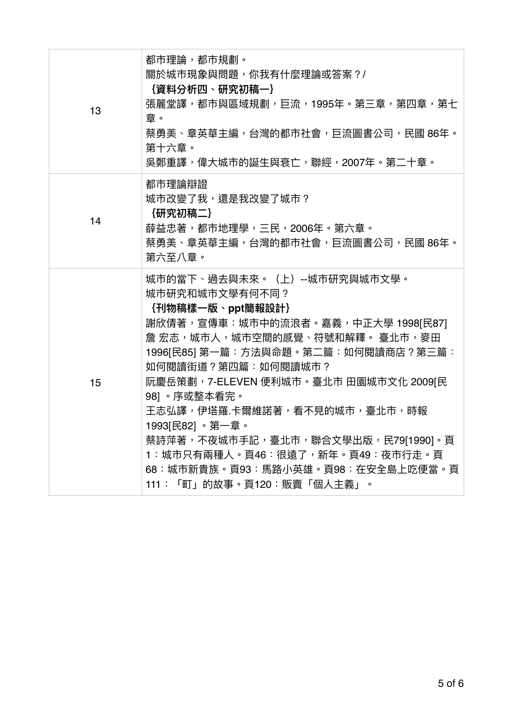| 13 | 都市理論,都市規劃。<br>關於城市現象與問題,你我有什麼理論或答案?/<br>{資料分析四、研究初稿一}<br>張麗堂譯,都市與區域規劃,巨流,1995年。第三章,第四章,第七<br>章。<br>蔡勇美、章英華主編,台灣的都市社會,巨流圖書公司,民國 86年。<br>第十六章。<br>吴鄭重譯,偉大城市的誕生與衰亡,聯經,2007年。第二十章。                                                                                                                                                                                                                                                                              |
|----|-------------------------------------------------------------------------------------------------------------------------------------------------------------------------------------------------------------------------------------------------------------------------------------------------------------------------------------------------------------------------------------------------------------------------------------------------------------|
| 14 | 都市理論辯證<br>城市改變了我,還是我改變了城市?<br>{研究初稿二}<br>薛益忠著,都市地理學,三民,2006年。第六章。<br>蔡勇美、章英華主編,台灣的都市社會,巨流圖書公司,民國 86年。<br>第六至八章。                                                                                                                                                                                                                                                                                                                                             |
| 15 | 城市的當下、過去與未來。(上)--城市研究與城市文學。<br>城市研究和城市文學有何不同?<br>{刊物稿樣一版、ppt簡報設計}<br>謝欣倩著,宣傳車:城市中的流浪者。嘉義,中正大學 1998[民87]<br>詹 宏志,城市人,城市空間的感覺、符號和解釋。 臺北市,麥田<br>1996[民85] 第一篇:方法與命題。第二篇:如何閱讀商店?第三篇:<br>如何閱讀街道?第四篇:如何閱讀城市?<br>阮慶岳策劃,7-ELEVEN 便利城市。臺北市 田園城市文化 2009[民<br>98]。序或整本看完。<br>王志弘譯,伊塔羅.卡爾維諾著,看不見的城市,臺北市,時報<br>1993[民82]。第一章。<br>蔡詩萍著,不夜城市手記,臺北市,聯合文學出版,民79[1990]。頁<br>1:城市只有兩種人。頁46:很遠了,新年。頁49:夜市行走。頁<br>68:城市新貴族。頁93:馬路小英雄。頁98:在安全島上吃便當。頁<br>111:「町」的故事。頁120:販賣「個人主義」。 |